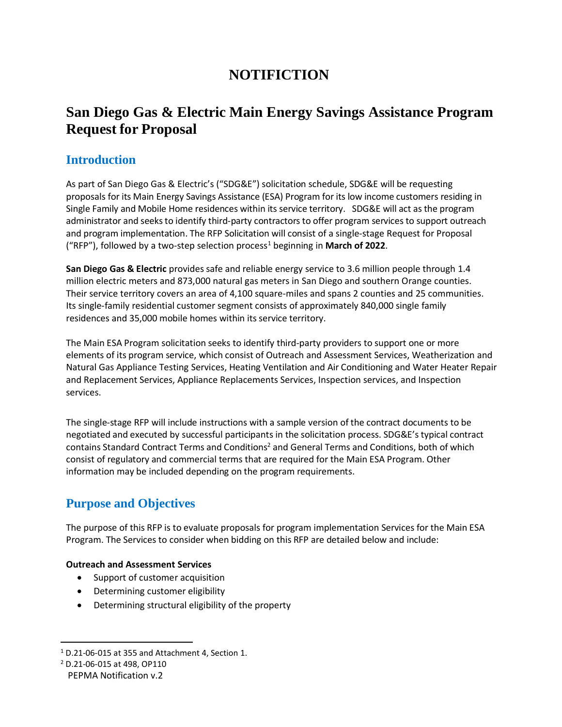# **NOTIFICTION**

## **San Diego Gas & Electric Main Energy Savings Assistance Program Request for Proposal**

### **Introduction**

As part of San Diego Gas & Electric's ("SDG&E") solicitation schedule, SDG&E will be requesting proposals for its Main Energy Savings Assistance (ESA) Program for its low income customers residing in Single Family and Mobile Home residences within its service territory. SDG&E will act as the program administrator and seeks to identify third-party contractors to offer program services to support outreach and program implementation. The RFP Solicitation will consist of a single-stage Request for Proposal ("RFP"), followed by a two-step selection process<sup>1</sup> beginning in **March of 2022**.

**San Diego Gas & Electric** provides safe and reliable energy service to 3.6 million people through 1.4 million electric meters and 873,000 natural gas meters in San Diego and southern Orange counties. Their service territory covers an area of 4,100 square-miles and spans 2 counties and 25 communities. Its single-family residential customer segment consists of approximately 840,000 single family residences and 35,000 mobile homes within its service territory.

The Main ESA Program solicitation seeks to identify third-party providers to support one or more elements of its program service, which consist of Outreach and Assessment Services, Weatherization and Natural Gas Appliance Testing Services, Heating Ventilation and Air Conditioning and Water Heater Repair and Replacement Services, Appliance Replacements Services, Inspection services, and Inspection services.

The single-stage RFP will include instructions with a sample version of the contract documents to be negotiated and executed by successful participants in the solicitation process. SDG&E's typical contract contains Standard Contract Terms and Conditions<sup>2</sup> and General Terms and Conditions, both of which consist of regulatory and commercial terms that are required for the Main ESA Program. Other information may be included depending on the program requirements.

## **Purpose and Objectives**

The purpose of this RFP is to evaluate proposals for program implementation Services for the Main ESA Program. The Services to consider when bidding on this RFP are detailed below and include:

#### **Outreach and Assessment Services**

- Support of customer acquisition
- Determining customer eligibility
- Determining structural eligibility of the property

<sup>1</sup> D.21-06-015 at 355 and Attachment 4, Section 1.

<sup>2</sup> D.21-06-015 at 498, OP110

PEPMA Notification v.2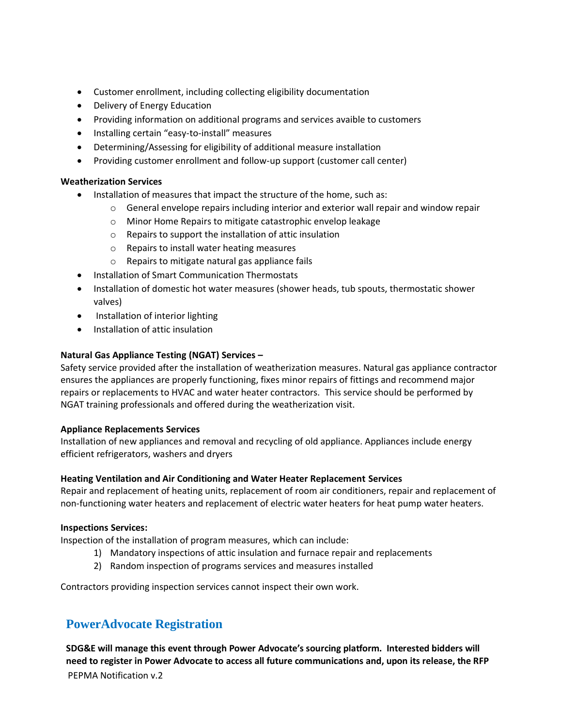- Customer enrollment, including collecting eligibility documentation
- Delivery of Energy Education
- Providing information on additional programs and services avaible to customers
- Installing certain "easy-to-install" measures
- Determining/Assessing for eligibility of additional measure installation
- Providing customer enrollment and follow-up support (customer call center)

#### **Weatherization Services**

- Installation of measures that impact the structure of the home, such as:
	- $\circ$  General envelope repairs including interior and exterior wall repair and window repair
	- o Minor Home Repairs to mitigate catastrophic envelop leakage
	- o Repairs to support the installation of attic insulation
	- o Repairs to install water heating measures
	- o Repairs to mitigate natural gas appliance fails
- Installation of Smart Communication Thermostats
- Installation of domestic hot water measures (shower heads, tub spouts, thermostatic shower valves)
- Installation of interior lighting
- Installation of attic insulation

#### **Natural Gas Appliance Testing (NGAT) Services –**

Safety service provided after the installation of weatherization measures. Natural gas appliance contractor ensures the appliances are properly functioning, fixes minor repairs of fittings and recommend major repairs or replacements to HVAC and water heater contractors. This service should be performed by NGAT training professionals and offered during the weatherization visit.

#### **Appliance Replacements Services**

Installation of new appliances and removal and recycling of old appliance. Appliances include energy efficient refrigerators, washers and dryers

#### **Heating Ventilation and Air Conditioning and Water Heater Replacement Services**

Repair and replacement of heating units, replacement of room air conditioners, repair and replacement of non-functioning water heaters and replacement of electric water heaters for heat pump water heaters.

#### **Inspections Services:**

Inspection of the installation of program measures, which can include:

- 1) Mandatory inspections of attic insulation and furnace repair and replacements
- 2) Random inspection of programs services and measures installed

Contractors providing inspection services cannot inspect their own work.

### **PowerAdvocate Registration**

PEPMA Notification v.2 **SDG&E will manage this event through Power Advocate's sourcing platform. Interested bidders will need to register in Power Advocate to access all future communications and, upon its release, the RFP**